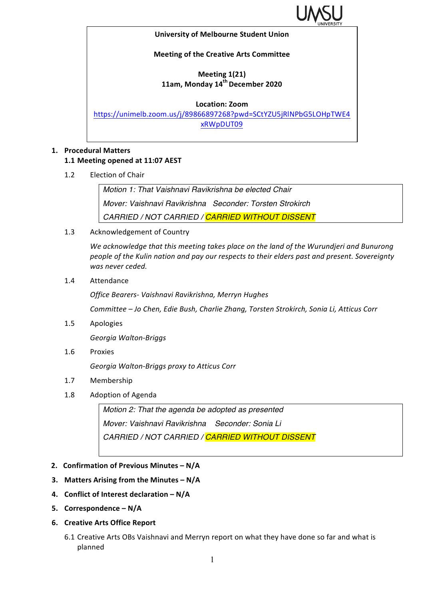

#### **University of Melbourne Student Union**

#### **Meeting of the Creative Arts Committee**

# **Meeting 1(21) 11am, Monday 14th December 2020**

**Location: Zoom**

https://unimelb.zoom.us/j/89866897268?pwd=SCtYZU5jRlNPbG5LOHpTWE4 xRWpDUT09

### **1. Procedural Matters**

## **1.1 Meeting opened at 11:07 AEST**

1.2 Election of Chair

*Motion 1: That Vaishnavi Ravikrishna be elected Chair Mover: Vaishnavi Ravikrishna Seconder: Torsten Strokirch CARRIED / NOT CARRIED / CARRIED WITHOUT DISSENT*

## 1.3 Acknowledgement of Country

We acknowledge that this meeting takes place on the land of the Wurundjeri and Bunurong *people of the Kulin nation and pay our respects to their elders past and present. Sovereignty was never ceded.* 

1.4 Attendance

*Office Bearers- Vaishnavi Ravikrishna, Merryn Hughes*

*Committee – Jo Chen, Edie Bush, Charlie Zhang, Torsten Strokirch, Sonia Li, Atticus Corr*

1.5 Apologies

*Georgia Walton-Briggs*

1.6 Proxies

*Georgia Walton-Briggs proxy to Atticus Corr*

- 1.7 Membership
- 1.8 Adoption of Agenda

*Motion 2: That the agenda be adopted as presented Mover: Vaishnavi Ravikrishna Seconder: Sonia Li CARRIED / NOT CARRIED / CARRIED WITHOUT DISSENT*

**2. Confirmation of Previous Minutes – N/A**

# **3. Matters Arising from the Minutes – N/A**

- **4. Conflict of Interest declaration – N/A**
- **5. Correspondence – N/A**
- **6. Creative Arts Office Report**
	- 6.1 Creative Arts OBs Vaishnavi and Merryn report on what they have done so far and what is planned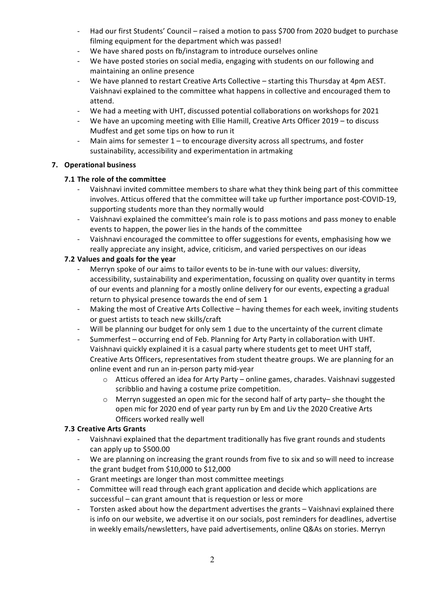- Had our first Students' Council raised a motion to pass \$700 from 2020 budget to purchase filming equipment for the department which was passed!
- We have shared posts on fb/instagram to introduce ourselves online
- We have posted stories on social media, engaging with students on our following and maintaining an online presence
- We have planned to restart Creative Arts Collective starting this Thursday at 4pm AEST. Vaishnavi explained to the committee what happens in collective and encouraged them to attend.
- We had a meeting with UHT, discussed potential collaborations on workshops for 2021
- We have an upcoming meeting with Ellie Hamill, Creative Arts Officer 2019 to discuss Mudfest and get some tips on how to run it
- Main aims for semester  $1 -$  to encourage diversity across all spectrums, and foster sustainability, accessibility and experimentation in artmaking

## **7. Operational business**

## **7.1 The role of the committee**

- Vaishnavi invited committee members to share what they think being part of this committee involves. Atticus offered that the committee will take up further importance post-COVID-19, supporting students more than they normally would
- Vaishnavi explained the committee's main role is to pass motions and pass money to enable events to happen, the power lies in the hands of the committee
- Vaishnavi encouraged the committee to offer suggestions for events, emphasising how we really appreciate any insight, advice, criticism, and varied perspectives on our ideas

## **7.2** Values and goals for the year

- Merryn spoke of our aims to tailor events to be in-tune with our values: diversity, accessibility, sustainability and experimentation, focussing on quality over quantity in terms of our events and planning for a mostly online delivery for our events, expecting a gradual return to physical presence towards the end of sem 1
- Making the most of Creative Arts Collective having themes for each week, inviting students or guest artists to teach new skills/craft
- Will be planning our budget for only sem 1 due to the uncertainty of the current climate
- Summerfest occurring end of Feb. Planning for Arty Party in collaboration with UHT. Vaishnavi quickly explained it is a casual party where students get to meet UHT staff, Creative Arts Officers, representatives from student theatre groups. We are planning for an online event and run an in-person party mid-year
	- $\circ$  Atticus offered an idea for Arty Party online games, charades. Vaishnavi suggested scribblio and having a costume prize competition.
	- $\circ$  Merryn suggested an open mic for the second half of arty party– she thought the open mic for 2020 end of year party run by Em and Liv the 2020 Creative Arts Officers worked really well

### **7.3 Creative Arts Grants**

- Vaishnavi explained that the department traditionally has five grant rounds and students can apply up to \$500.00
- We are planning on increasing the grant rounds from five to six and so will need to increase the grant budget from  $$10,000$  to  $$12,000$
- Grant meetings are longer than most committee meetings
- Committee will read through each grant application and decide which applications are successful – can grant amount that is requestion or less or more
- Torsten asked about how the department advertises the grants Vaishnavi explained there is info on our website, we advertise it on our socials, post reminders for deadlines, advertise in weekly emails/newsletters, have paid advertisements, online Q&As on stories. Merryn